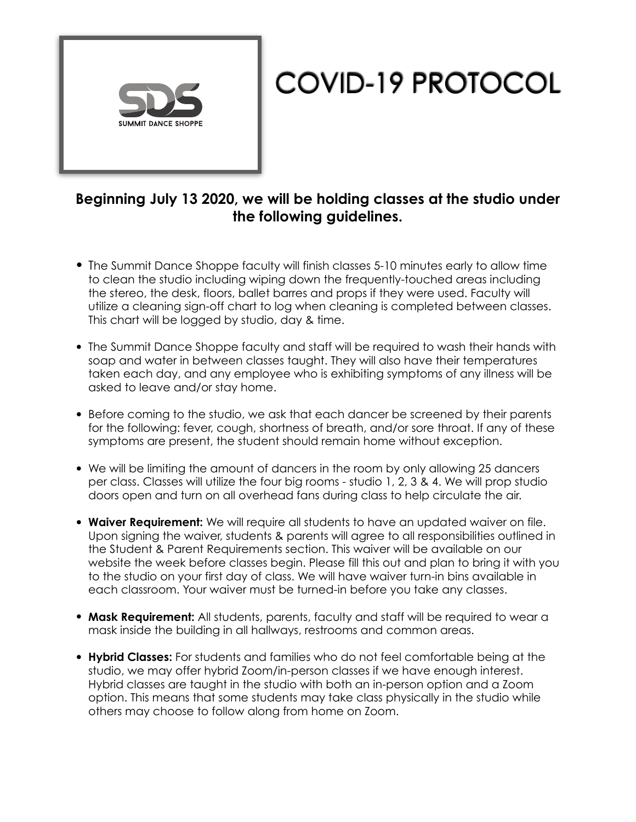

## COVID-19 PROTOCOL

## **Beginning July 13 2020, we will be holding classes at the studio under the following guidelines.**

- The Summit Dance Shoppe faculty will finish classes 5-10 minutes early to allow time to clean the studio including wiping down the frequently-touched areas including the stereo, the desk, floors, ballet barres and props if they were used. Faculty will utilize a cleaning sign-off chart to log when cleaning is completed between classes. This chart will be logged by studio, day & time.
- The Summit Dance Shoppe faculty and staff will be required to wash their hands with soap and water in between classes taught. They will also have their temperatures taken each day, and any employee who is exhibiting symptoms of any illness will be asked to leave and/or stay home.
- Before coming to the studio, we ask that each dancer be screened by their parents for the following: fever, cough, shortness of breath, and/or sore throat. If any of these symptoms are present, the student should remain home without exception.
- We will be limiting the amount of dancers in the room by only allowing 25 dancers per class. Classes will utilize the four big rooms - studio 1, 2, 3 & 4. We will prop studio doors open and turn on all overhead fans during class to help circulate the air.
- **Waiver Requirement:** We will require all students to have an updated waiver on file. Upon signing the waiver, students & parents will agree to all responsibilities outlined in the Student & Parent Requirements section. This waiver will be available on our website the week before classes begin. Please fill this out and plan to bring it with you to the studio on your first day of class. We will have waiver turn-in bins available in each classroom. Your waiver must be turned-in before you take any classes.
- **Mask Requirement:** All students, parents, faculty and staff will be required to wear a mask inside the building in all hallways, restrooms and common areas.
- **Hybrid Classes:** For students and families who do not feel comfortable being at the studio, we may offer hybrid Zoom/in-person classes if we have enough interest. Hybrid classes are taught in the studio with both an in-person option and a Zoom option. This means that some students may take class physically in the studio while others may choose to follow along from home on Zoom.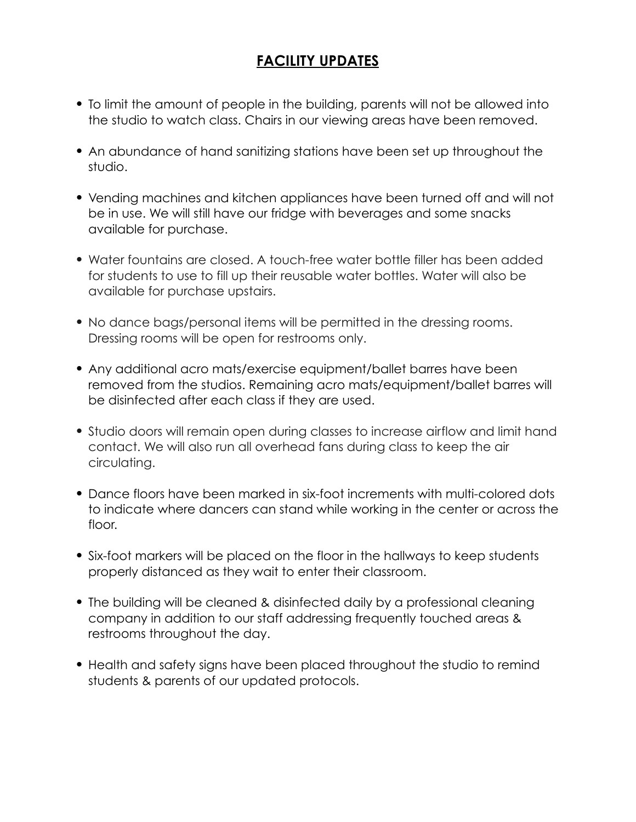## **FACILITY UPDATES**

- To limit the amount of people in the building, parents will not be allowed into the studio to watch class. Chairs in our viewing areas have been removed.
- An abundance of hand sanitizing stations have been set up throughout the studio.
- Vending machines and kitchen appliances have been turned off and will not be in use. We will still have our fridge with beverages and some snacks available for purchase.
- Water fountains are closed. A touch-free water bottle filler has been added for students to use to fill up their reusable water bottles. Water will also be available for purchase upstairs.
- No dance bags/personal items will be permitted in the dressing rooms. Dressing rooms will be open for restrooms only.
- Any additional acro mats/exercise equipment/ballet barres have been removed from the studios. Remaining acro mats/equipment/ballet barres will be disinfected after each class if they are used.
- Studio doors will remain open during classes to increase airflow and limit hand contact. We will also run all overhead fans during class to keep the air circulating.
- Dance floors have been marked in six-foot increments with multi-colored dots to indicate where dancers can stand while working in the center or across the floor.
- Six-foot markers will be placed on the floor in the hallways to keep students properly distanced as they wait to enter their classroom.
- The building will be cleaned & disinfected daily by a professional cleaning company in addition to our staff addressing frequently touched areas & restrooms throughout the day.
- Health and safety signs have been placed throughout the studio to remind students & parents of our updated protocols.